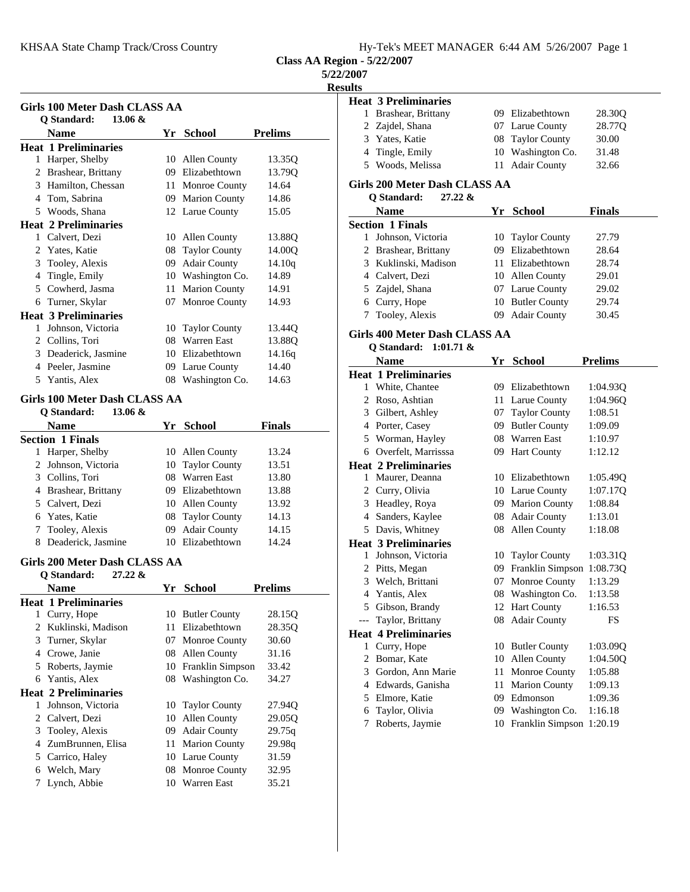KHSAA State Champ Track/Cross Country Hy-Tek's MEET MANAGER 6:44 AM 5/26/2007 Page 1

**Class AA Region** 

**5/22/2007**

**Results**

|    | <b>Girls 100 Meter Dash CLASS AA</b>            |                   |                |
|----|-------------------------------------------------|-------------------|----------------|
|    | Q Standard:<br>13.06 &                          |                   |                |
|    | <b>Name</b>                                     | Yr School         | <b>Prelims</b> |
|    | <b>Heat 1 Preliminaries</b>                     |                   |                |
|    | 1 Harper, Shelby                                | 10 Allen County   | 13.35Q         |
|    | 2 Brashear, Brittany                            | 09 Elizabethtown  | 13.79Q         |
|    | 3 Hamilton, Chessan                             | 11 Monroe County  | 14.64          |
|    | 4 Tom, Sabrina                                  | 09 Marion County  | 14.86          |
|    | 5 Woods, Shana                                  | 12 Larue County   | 15.05          |
|    | <b>Heat 2 Preliminaries</b>                     |                   |                |
|    | 1 Calvert, Dezi                                 | 10 Allen County   | 13.88Q         |
|    | 2 Yates, Katie                                  | 08 Taylor County  | 14.00Q         |
|    | 3 Tooley, Alexis                                | 09 Adair County   | 14.10q         |
|    | 4 Tingle, Emily                                 | 10 Washington Co. | 14.89          |
|    | 5 Cowherd, Jasma                                | 11 Marion County  | 14.91          |
|    | 6 Turner, Skylar                                | 07 Monroe County  | 14.93          |
|    | <b>Heat 3 Preliminaries</b>                     |                   |                |
|    | 1 Johnson, Victoria                             | 10 Taylor County  | 13.44Q         |
|    | 2 Collins, Tori                                 | 08 Warren East    | 13.880         |
|    | 3 Deaderick, Jasmine                            | 10 Elizabethtown  | 14.16q         |
|    | 4 Peeler, Jasmine                               | 09 Larue County   | 14.40          |
| 5. | Yantis, Alex                                    | 08 Washington Co. | 14.63          |
|    | <b>Girls 100 Meter Dash CLASS AA</b>            |                   |                |
|    | O Standard:<br>$13.06 \&$                       |                   |                |
|    | <b>Name</b>                                     | Yr School         | <b>Finals</b>  |
|    | <b>Section 1 Finals</b>                         |                   |                |
|    | 1 Harper, Shelby                                | 10 Allen County   | 13.24          |
|    | 2 Johnson, Victoria                             | 10 Taylor County  | 13.51          |
|    | 3 Collins, Tori                                 | 08 Warren East    | 13.80          |
|    | 4 Brashear, Brittany                            | 09 Elizabethtown  | 13.88          |
|    | 5 Calvert, Dezi                                 | 10 Allen County   | 13.92          |
|    | 6 Yates, Katie                                  | 08 Taylor County  | 14.13          |
| 7  | Tooley, Alexis                                  | 09 Adair County   | 14.15          |
|    | 8 Deaderick, Jasmine                            | 10 Elizabethtown  | 14.24          |
|    |                                                 |                   |                |
|    | Girls 200 Meter Dash CLASS AA                   |                   |                |
|    | <b>Q</b> Standard:<br>$27.22 \&$<br><b>Name</b> | Yr School         |                |

|   | <b>Heat 1 Preliminaries</b> |         |                      |                    |
|---|-----------------------------|---------|----------------------|--------------------|
| 1 | Curry, Hope                 | 10      | <b>Butler County</b> | 28.15 <sub>O</sub> |
| 2 | Kuklinski, Madison          | 11.     | Elizabethtown        | 28.35O             |
| 3 | Turner, Skylar              | 07.     | <b>Monroe County</b> | 30.60              |
| 4 | Crowe, Janie                | 08      | Allen County         | 31.16              |
| 5 | Roberts, Jaymie             | 10      | Franklin Simpson     | 33.42              |
| 6 | Yantis, Alex                | 08      | Washington Co.       | 34.27              |
|   | <b>Heat 2 Preliminaries</b> |         |                      |                    |
| 1 | Johnson, Victoria           | 10      | <b>Taylor County</b> | 27.94Q             |
| 2 | Calvert, Dezi               | 10      | Allen County         | 29.050             |
| 3 | Tooley, Alexis              | $^{09}$ | <b>Adair County</b>  | 29.75q             |
| 4 | ZumBrunnen, Elisa           | 11.     | <b>Marion County</b> | 29.98q             |
| 5 | Carrico, Haley              |         | 10 Larue County      | 31.59              |
| 6 | Welch, Mary                 |         | 08 Monroe County     | 32.95              |
|   | Lynch, Abbie                | 10      | <b>Warren East</b>   | 35.21              |
|   |                             |         |                      |                    |

|      | on - 5/22/2007                                                    |     |                      |                |
|------|-------------------------------------------------------------------|-----|----------------------|----------------|
| 2007 |                                                                   |     |                      |                |
| ults |                                                                   |     |                      |                |
|      | <b>Heat 3 Preliminaries</b>                                       |     |                      |                |
|      | 1 Brashear, Brittany                                              |     | 09 Elizabethtown     | 28.30Q         |
|      | 2 Zajdel, Shana                                                   |     | 07 Larue County      | 28.77Q         |
|      | 3 Yates, Katie                                                    | 08  | <b>Taylor County</b> | 30.00          |
|      | 4 Tingle, Emily                                                   | 10  | Washington Co.       | 31.48          |
|      | 5 Woods, Melissa                                                  | 11  | <b>Adair County</b>  | 32.66          |
|      | <b>Girls 200 Meter Dash CLASS AA</b><br>$27.22 \&$<br>O Standard: |     |                      |                |
|      | <b>Name</b>                                                       |     | Yr School            | <b>Finals</b>  |
|      | <b>Section 1 Finals</b>                                           |     |                      |                |
|      | 1 Johnson, Victoria                                               | 10  | <b>Taylor County</b> | 27.79          |
|      | 2 Brashear, Brittany                                              |     | 09 Elizabethtown     | 28.64          |
|      | 3 Kuklinski, Madison                                              |     | 11 Elizabethtown     | 28.74          |
|      | 4 Calvert, Dezi                                                   |     | 10 Allen County      | 29.01          |
|      | 5 Zajdel, Shana                                                   |     | 07 Larue County      | 29.02          |
|      | 6 Curry, Hope                                                     |     | 10 Butler County     | 29.74          |
| 7    | Tooley, Alexis                                                    | 09  | <b>Adair County</b>  | 30.45          |
|      | Girls 400 Meter Dash CLASS AA                                     |     |                      |                |
|      | Q Standard:<br>$1:01.71$ &                                        |     |                      |                |
|      | Name                                                              | Yr  |                      | <b>Prelims</b> |
|      | <b>Heat 1 Preliminaries</b>                                       |     | School               |                |
|      | 1 White, Chantee                                                  |     | 09 Elizabethtown     | 1:04.93Q       |
|      | 2 Roso, Ashtian                                                   |     | 11 Larue County      | 1:04.96Q       |
|      | 3 Gilbert, Ashley                                                 |     | 07 Taylor County     | 1:08.51        |
|      | 4 Porter, Casey                                                   |     | 09 Butler County     | 1:09.09        |
|      | 5 Worman, Hayley                                                  |     | 08 Warren East       | 1:10.97        |
|      | 6 Overfelt, Marrisssa                                             | 09- | <b>Hart County</b>   | 1:12.12        |
|      | <b>Heat 2 Preliminaries</b>                                       |     |                      |                |
|      | 1 Maurer, Deanna                                                  |     | 10 Elizabethtown     | 1:05.49Q       |
|      | 2 Curry, Olivia                                                   |     | 10 Larue County      | 1:07.17Q       |
|      | 3 Headley, Roya                                                   |     | 09 Marion County     | 1:08.84        |
|      | 4 Sanders, Kaylee                                                 |     | 08 Adair County      | 1:13.01        |
|      | 5 Davis, Whitney                                                  | 08  | Allen County         | 1:18.08        |
|      | <b>Heat 3 Preliminaries</b>                                       |     |                      |                |
| 1    | Johnson, Victoria                                                 | 10  | <b>Taylor County</b> | 1:03.31Q       |
| 2    | Pitts, Megan                                                      | 09  | Franklin Simpson     | 1:08.73Q       |
| 3    | Welch, Brittani                                                   | 07  | Monroe County        | 1:13.29        |
|      | 4 Yantis, Alex                                                    | 08  | Washington Co.       | 1:13.58        |
| 5    | Gibson, Brandy                                                    | 12  | <b>Hart County</b>   | 1:16.53        |
| ---  | Taylor, Brittany                                                  | 08  | <b>Adair County</b>  | FS             |
|      | <b>Heat 4 Preliminaries</b>                                       |     |                      |                |
| 1    | Curry, Hope                                                       | 10  | <b>Butler County</b> | 1:03.09Q       |
| 2    | Bomar, Kate                                                       | 10  | <b>Allen County</b>  | 1:04.50Q       |
|      | 3 Gordon, Ann Marie                                               | 11  | Monroe County        | 1:05.88        |
|      | 4 Edwards, Ganisha                                                | 11  | <b>Marion County</b> | 1:09.13        |
|      | 5 Elmore, Katie                                                   |     | 09 Edmonson          | 1:09.36        |
| 6    | Taylor, Olivia                                                    |     | 09 Washington Co.    | 1:16.18        |
| 7    | Roberts, Jaymie                                                   | 10  | Franklin Simpson     | 1:20.19        |
|      |                                                                   |     |                      |                |
|      |                                                                   |     |                      |                |
|      |                                                                   |     |                      |                |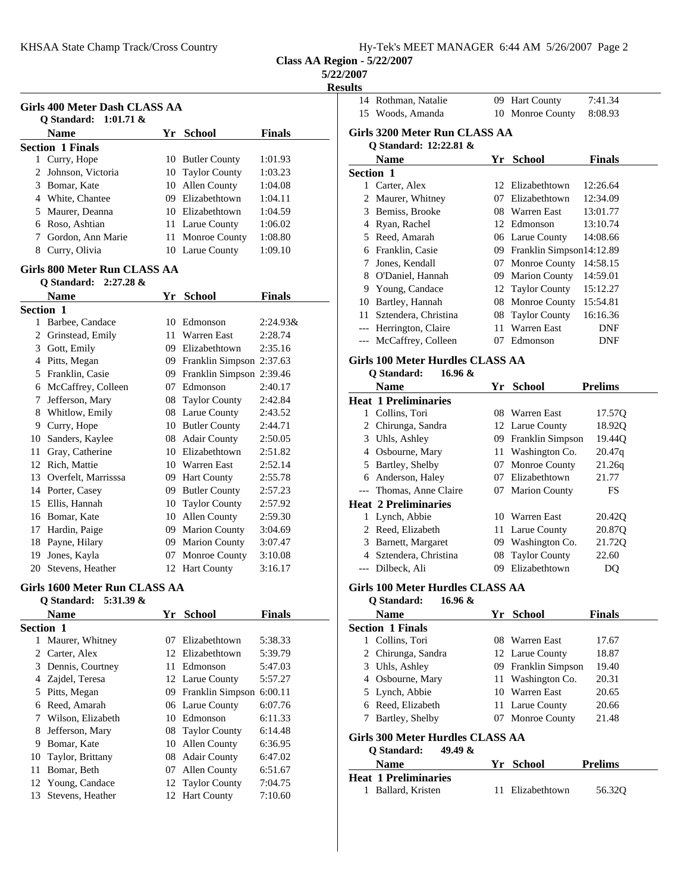|  |  |  |  |  |  |  | Hy-Tek's MEET MANAGER 6:44 AM 5/26/2007 Page 2 |  |
|--|--|--|--|--|--|--|------------------------------------------------|--|
|--|--|--|--|--|--|--|------------------------------------------------|--|

**5/22/2007**

**Result** 

|    | <b>Girls 400 Meter Dash CLASS AA</b> |     |                             |               |
|----|--------------------------------------|-----|-----------------------------|---------------|
|    | O Standard: 1:01.71 &                |     |                             |               |
|    | Name                                 |     | Yr School                   | <b>Finals</b> |
|    | <b>Section 1 Finals</b>              |     |                             |               |
|    | 1 Curry, Hope                        |     | 10 Butler County            | 1:01.93       |
|    | 2 Johnson, Victoria                  |     | 10 Taylor County            | 1:03.23       |
|    | 3 Bomar, Kate                        |     | 10 Allen County             | 1:04.08       |
|    | 4 White, Chantee                     |     | 09 Elizabethtown            | 1:04.11       |
|    | 5 Maurer, Deanna                     |     | 10 Elizabethtown            | 1:04.59       |
|    | 6 Roso, Ashtian                      |     | 11 Larue County             | 1:06.02       |
|    | 7 Gordon, Ann Marie                  |     | 11 Monroe County            | 1:08.80       |
|    | 8 Curry, Olivia                      |     | 10 Larue County             | 1:09.10       |
|    | Girls 800 Meter Run CLASS AA         |     |                             |               |
|    | O Standard: 2:27.28 &                |     |                             |               |
|    | <b>Name</b>                          |     | Yr School                   | <b>Finals</b> |
|    | <b>Section 1</b>                     |     |                             |               |
|    | 1 Barbee, Candace                    |     | 10 Edmonson                 | $2:24.93\&$   |
|    | 2 Grinstead, Emily                   |     | 11 Warren East              | 2:28.74       |
|    | 3 Gott, Emily                        |     | 09 Elizabethtown            | 2:35.16       |
|    | 4 Pitts, Megan                       |     | 09 Franklin Simpson 2:37.63 |               |
|    | 5 Franklin, Casie                    |     | 09 Franklin Simpson 2:39.46 |               |
|    | 6 McCaffrey, Colleen                 |     | 07 Edmonson                 | 2:40.17       |
|    | 7 Jefferson, Mary                    |     | 08 Taylor County            | 2:42.84       |
|    | 8 Whitlow, Emily                     |     | 08 Larue County             | 2:43.52       |
|    | 9 Curry, Hope                        |     | 10 Butler County            | 2:44.71       |
|    | 10 Sanders, Kaylee                   |     | 08 Adair County             | 2:50.05       |
|    | 11 Gray, Catherine                   |     | 10 Elizabethtown            | 2:51.82       |
|    | 12 Rich, Mattie                      |     | 10 Warren East              | 2:52.14       |
|    | 13 Overfelt, Marrisssa               |     | 09 Hart County              | 2:55.78       |
|    | 14 Porter, Casey                     |     | 09 Butler County            | 2:57.23       |
|    | 15 Ellis, Hannah                     |     | 10 Taylor County            | 2:57.92       |
|    | 16 Bomar, Kate                       |     | 10 Allen County             | 2:59.30       |
|    | 17 Hardin, Paige                     |     | 09 Marion County            | 3:04.69       |
|    | 18 Payne, Hilary                     |     | 09 Marion County            | 3:07.47       |
|    | 19 Jones, Kayla                      |     | 07 Monroe County            | 3:10.08       |
|    | 20 Stevens, Heather                  |     | 12 Hart County              | 3:16.17       |
|    | Girls 1600 Meter Run CLASS AA        |     |                             |               |
|    | Q Standard: 5:31.39 &                |     |                             |               |
|    | Name                                 |     | Yr School                   | <b>Finals</b> |
|    | Section 1                            |     |                             |               |
|    | 1 Maurer, Whitney                    | 07  | Elizabethtown               | 5:38.33       |
|    | 2 Carter, Alex                       |     | 12 Elizabethtown            | 5:39.79       |
|    | 3 Dennis, Courtney                   | 11- | Edmonson                    | 5:47.03       |
|    |                                      |     |                             |               |
|    | 4 Zajdel, Teresa                     |     | 12 Larue County             | 5:57.27       |
|    | 5 Pitts, Megan                       |     | 09 Franklin Simpson 6:00.11 |               |
| 6  | Reed, Amarah                         |     | 06 Larue County             | 6:07.76       |
| 7  | Wilson, Elizabeth                    | 10  | Edmonson                    | 6:11.33       |
| 8  | Jefferson, Mary                      | 08  | <b>Taylor County</b>        | 6:14.48       |
|    | 9 Bomar, Kate                        | 10  | Allen County                | 6:36.95       |
| 10 | Taylor, Brittany                     | 08  | <b>Adair County</b>         | 6:47.02       |
| 11 | Bomar, Beth                          | 07  | Allen County                | 6:51.67       |
| 12 | Young, Candace                       | 12  | <b>Taylor County</b>        | 7:04.75       |

13 Stevens, Heather 12 Hart County 7:10.60

| ults      |                                         |     |                             |                |
|-----------|-----------------------------------------|-----|-----------------------------|----------------|
|           | 14 Rothman, Natalie                     |     | 09 Hart County              | 7:41.34        |
|           | 15 Woods, Amanda                        |     | 10 Monroe County            | 8:08.93        |
|           |                                         |     |                             |                |
|           | Girls 3200 Meter Run CLASS AA           |     |                             |                |
|           | Q Standard: 12:22.81 &                  |     |                             |                |
|           | <b>Name</b>                             | Yr  | School                      | <b>Finals</b>  |
| Section 1 |                                         |     |                             |                |
|           | 1 Carter, Alex                          |     | 12 Elizabethtown            | 12:26.64       |
|           | 2 Maurer, Whitney                       |     | 07 Elizabethtown            | 12:34.09       |
|           | 3 Bemiss, Brooke                        |     | 08 Warren East              | 13:01.77       |
|           | 4 Ryan, Rachel                          |     | 12 Edmonson                 | 13:10.74       |
|           | 5 Reed, Amarah                          |     | 06 Larue County             | 14:08.66       |
|           | 6 Franklin, Casie                       |     | 09 Franklin Simpson14:12.89 |                |
|           | 7 Jones, Kendall                        |     | 07 Monroe County            | 14:58.15       |
|           | 8 O'Daniel, Hannah                      |     | 09 Marion County            | 14:59.01       |
|           | 9 Young, Candace                        |     | 12 Taylor County            | 15:12.27       |
|           | 10 Bartley, Hannah                      |     | 08 Monroe County            | 15:54.81       |
|           | 11 Sztendera, Christina                 |     | 08 Taylor County            | 16:16.36       |
|           | --- Herrington, Claire                  | 11- | <b>Warren East</b>          | DNF            |
|           | --- McCaffrey, Colleen                  | 07  | Edmonson                    | DNF            |
|           |                                         |     |                             |                |
|           | <b>Girls 100 Meter Hurdles CLASS AA</b> |     |                             |                |
|           | Q Standard:<br>16.96 &                  |     |                             |                |
|           | <b>Name</b>                             |     | Yr School                   | <b>Prelims</b> |
|           | <b>Heat 1 Preliminaries</b>             |     |                             |                |
|           | 1 Collins, Tori                         |     | 08 Warren East              | 17.570         |
|           | 2 Chirunga, Sandra                      |     | 12 Larue County             | 18.92Q         |
|           | 3 Uhls, Ashley                          |     | 09 Franklin Simpson         | 19.44Q         |
|           | 4 Osbourne, Mary                        | 11  | Washington Co.              | 20.47q         |
|           | 5 Bartley, Shelby                       |     | 07 Monroe County            | 21.26q         |
|           | 6 Anderson, Haley                       |     | 07 Elizabethtown            | 21.77          |
|           | --- Thomas, Anne Claire                 | 07  | <b>Marion County</b>        | FS             |
|           | <b>Heat 2 Preliminaries</b>             |     |                             |                |
|           | 1 Lynch, Abbie                          |     | 10 Warren East              | 20.42Q         |
|           | 2 Reed, Elizabeth                       | 11- | Larue County                | 20.87Q         |
|           | 3 Barnett, Margaret                     |     | 09 Washington Co.           | 21.72Q         |
|           | 4 Sztendera, Christina                  | 08  | <b>Taylor County</b>        | 22.60          |
|           | --- Dilbeck, Ali                        |     | 09 Elizabethtown            | D <sub>O</sub> |
|           |                                         |     |                             |                |
|           | Girls 100 Meter Hurdles CLASS AA        |     |                             |                |
|           | 16.96 &<br>Q Standard:                  |     |                             |                |
|           | <b>Name</b>                             |     | Yr School                   | <b>Finals</b>  |
|           | <b>Section 1 Finals</b>                 |     |                             |                |
|           | 1 Collins, Tori                         |     | 08 Warren East              | 17.67          |
|           | 2 Chirunga, Sandra                      |     | 12 Larue County             | 18.87          |
|           | 3 Uhls, Ashley                          |     | 09 Franklin Simpson         | 19.40          |
|           | 4 Osbourne, Mary                        |     | 11 Washington Co.           | 20.31          |
|           | 5 Lynch, Abbie                          |     | 10 Warren East              | 20.65          |
|           | 6 Reed, Elizabeth                       |     | 11 Larue County             | 20.66          |
|           | 7 Bartley, Shelby                       |     | 07 Monroe County            | 21.48          |
|           |                                         |     |                             |                |
|           | Girls 300 Meter Hurdles CLASS AA        |     |                             |                |
|           | Q Standard:<br>49.49 &                  |     |                             |                |
|           | Name                                    |     | Yr School                   | Prelims        |
|           | <b>Heat 1 Preliminaries</b>             |     |                             |                |
|           | 1 Ballard, Kristen                      | 11  | Elizabethtown               | 56.32Q         |
|           |                                         |     |                             |                |
|           |                                         |     |                             |                |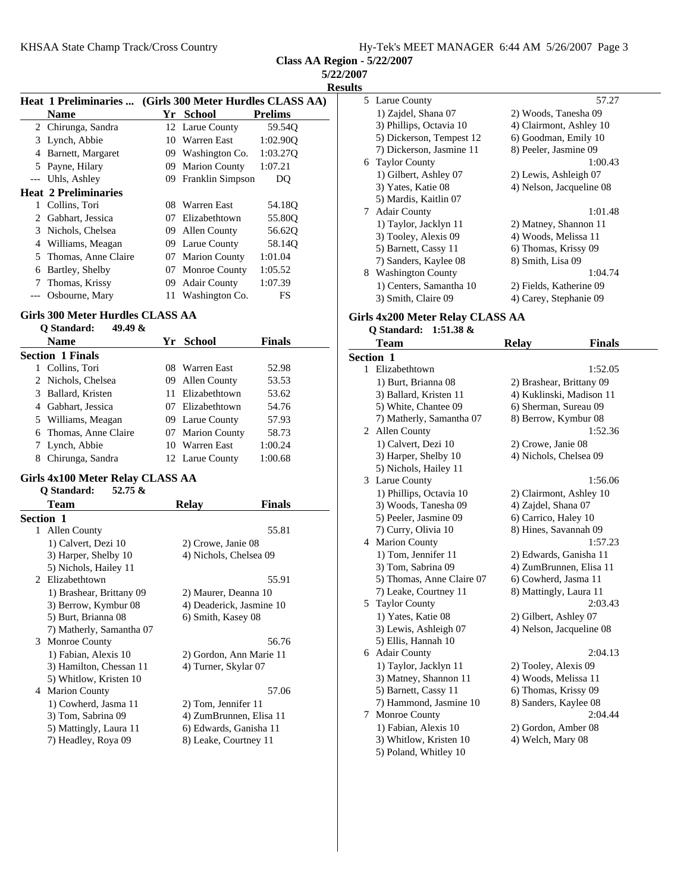**Class AA Region - 5/22/2007**

**5/22/2007 Results**

|       | <b>Heat 1 Preliminaries </b> |     |                         | (Girls 300 Meter Hurdles CLASS AA) |
|-------|------------------------------|-----|-------------------------|------------------------------------|
|       | <b>Name</b>                  |     | Yr School               | <b>Prelims</b>                     |
|       | 2 Chirunga, Sandra           |     | 12 Larue County         | 59.54Q                             |
| 3     | Lynch, Abbie                 | 10  | Warren East             | 1:02.900                           |
| 4     | Barnett, Margaret            | 09  | Washington Co.          | 1:03.27Q                           |
| 5     | Payne, Hilary                | 09  | <b>Marion County</b>    | 1:07.21                            |
| $---$ | Uhls, Ashley                 | 09  | <b>Franklin Simpson</b> | DO                                 |
|       | <b>Heat 2 Preliminaries</b>  |     |                         |                                    |
| 1     | Collins, Tori                | 08  | Warren East             | 54.18O                             |
| 2     | Gabhart, Jessica             | 07  | Elizabethtown           | 55.80O                             |
| 3     | Nichols, Chelsea             |     | 09 Allen County         | 56.620                             |
| 4     | Williams, Meagan             | 09. | Larue County            | 58.14Q                             |
| 5.    | Thomas, Anne Claire          |     | 07 Marion County        | 1:01.04                            |
| 6     | Bartley, Shelby              |     | 07 Monroe County        | 1:05.52                            |
| 7     | Thomas, Krissy               | 09  | <b>Adair County</b>     | 1:07.39                            |
|       | Osbourne, Mary               | 11  | Washington Co.          | FS                                 |

## **Girls 300 Meter Hurdles CLASS AA**

| 49.49 $\&$<br>O Standard: |                  |               |  |
|---------------------------|------------------|---------------|--|
| <b>Name</b>               | Yr School        | <b>Finals</b> |  |
| <b>Section 1 Finals</b>   |                  |               |  |
| Collins, Tori             | 08 Warren East   | 52.98         |  |
| 2 Nichols, Chelsea        | 09 Allen County  | 53.53         |  |
| 3 Ballard, Kristen        | 11 Elizabethtown | 53.62         |  |
| 4 Gabhart, Jessica        | 07 Elizabethtown | 54.76         |  |
| 5 Williams, Meagan        | 09 Larue County  | 57.93         |  |
| 6 Thomas, Anne Claire     | 07 Marion County | 58.73         |  |
| 7 Lynch, Abbie            | 10 Warren East   | 1:00.24       |  |
| Chirunga, Sandra<br>8     | 12 Larue County  | 1:00.68       |  |

## **Girls 4x100 Meter Relay CLASS AA**

| Q Standard:<br>$52.75 \&$    |                               |
|------------------------------|-------------------------------|
| <b>Team</b>                  | <b>Relay</b><br><b>Finals</b> |
| <b>Section 1</b>             |                               |
| Allen County<br>$\mathbf{1}$ | 55.81                         |
| 1) Calvert, Dezi 10          | 2) Crowe, Janie 08            |
| 3) Harper, Shelby 10         | 4) Nichols, Chelsea 09        |
| 5) Nichols, Hailey 11        |                               |
| 2 Elizabethtown              | 55.91                         |
| 1) Brashear, Brittany 09     | 2) Maurer, Deanna 10          |
| 3) Berrow, Kymbur 08         | 4) Deaderick, Jasmine 10      |
| 5) Burt, Brianna 08          | 6) Smith, Kasey 08            |
| 7) Matherly, Samantha 07     |                               |
| 3<br><b>Monroe County</b>    | 56.76                         |
| 1) Fabian, Alexis 10         | 2) Gordon, Ann Marie 11       |
| 3) Hamilton, Chessan 11      | 4) Turner, Skylar 07          |
| 5) Whitlow, Kristen 10       |                               |
| <b>Marion County</b><br>4    | 57.06                         |
| 1) Cowherd, Jasma 11         | 2) Tom, Jennifer 11           |
| 3) Tom, Sabrina 09           | 4) ZumBrunnen, Elisa 11       |
| 5) Mattingly, Laura 11       | 6) Edwards, Ganisha 11        |
| 7) Headley, Roya 09          | 8) Leake, Courtney 11         |
|                              |                               |

|    | 5 Larue County           | 57.27                    |
|----|--------------------------|--------------------------|
|    | 1) Zajdel, Shana 07      | 2) Woods, Tanesha 09     |
|    | 3) Phillips, Octavia 10  | 4) Clairmont, Ashley 10  |
|    | 5) Dickerson, Tempest 12 | 6) Goodman, Emily 10     |
|    | 7) Dickerson, Jasmine 11 | 8) Peeler, Jasmine 09    |
|    | 6 Taylor County          | 1:00.43                  |
|    | 1) Gilbert, Ashley 07    | 2) Lewis, Ashleigh 07    |
|    | 3) Yates, Katie 08       | 4) Nelson, Jacqueline 08 |
|    | 5) Mardis, Kaitlin 07    |                          |
| 7  | <b>Adair County</b>      | 1:01.48                  |
|    | 1) Taylor, Jacklyn 11    | 2) Matney, Shannon 11    |
|    | 3) Tooley, Alexis 09     | 4) Woods, Melissa 11     |
|    | 5) Barnett, Cassy 11     | 6) Thomas, Krissy 09     |
|    | 7) Sanders, Kaylee 08    | 8) Smith, Lisa 09        |
| 8. | <b>Washington County</b> | 1:04.74                  |
|    | 1) Centers, Samantha 10  | 2) Fields, Katherine 09  |
|    | 3) Smith, Claire 09      | 4) Carey, Stephanie 09   |

## **Girls 4x200 Meter Relay CLASS AA Q Standard: 1:51.38 &**

| <b>Team</b>               | <b>Relay</b>           | <b>Finals</b>            |
|---------------------------|------------------------|--------------------------|
| Section 1                 |                        |                          |
| 1 Elizabethtown           |                        | 1:52.05                  |
| 1) Burt, Brianna 08       |                        | 2) Brashear, Brittany 09 |
| 3) Ballard, Kristen 11    |                        | 4) Kuklinski, Madison 11 |
| 5) White, Chantee 09      | 6) Sherman, Sureau 09  |                          |
| 7) Matherly, Samantha 07  | 8) Berrow, Kymbur 08   |                          |
| 2 Allen County            |                        | 1:52.36                  |
| 1) Calvert, Dezi 10       | 2) Crowe, Janie 08     |                          |
| 3) Harper, Shelby 10      | 4) Nichols, Chelsea 09 |                          |
| 5) Nichols, Hailey 11     |                        |                          |
| 3 Larue County            |                        | 1:56.06                  |
| 1) Phillips, Octavia 10   |                        | 2) Clairmont, Ashley 10  |
| 3) Woods, Tanesha 09      | 4) Zajdel, Shana 07    |                          |
| 5) Peeler, Jasmine 09     | 6) Carrico, Haley 10   |                          |
| 7) Curry, Olivia 10       | 8) Hines, Savannah 09  |                          |
| 4 Marion County           |                        | 1:57.23                  |
| 1) Tom, Jennifer 11       |                        | 2) Edwards, Ganisha 11   |
| 3) Tom, Sabrina 09        |                        | 4) ZumBrunnen, Elisa 11  |
| 5) Thomas, Anne Claire 07 | 6) Cowherd, Jasma 11   |                          |
| 7) Leake, Courtney 11     | 8) Mattingly, Laura 11 |                          |
| 5 Taylor County           |                        | 2:03.43                  |
| 1) Yates, Katie 08        | 2) Gilbert, Ashley 07  |                          |
| 3) Lewis, Ashleigh 07     |                        | 4) Nelson, Jacqueline 08 |
| 5) Ellis, Hannah 10       |                        |                          |
| 6 Adair County            |                        | 2:04.13                  |
| 1) Taylor, Jacklyn 11     | 2) Tooley, Alexis 09   |                          |
| 3) Matney, Shannon 11     | 4) Woods, Melissa 11   |                          |
| 5) Barnett, Cassy 11      | 6) Thomas, Krissy 09   |                          |
| 7) Hammond, Jasmine 10    | 8) Sanders, Kaylee 08  |                          |
| 7 Monroe County           |                        | 2:04.44                  |
| 1) Fabian, Alexis 10      | 2) Gordon, Amber 08    |                          |
| 3) Whitlow, Kristen 10    | 4) Welch, Mary 08      |                          |
| 5) Poland, Whitley 10     |                        |                          |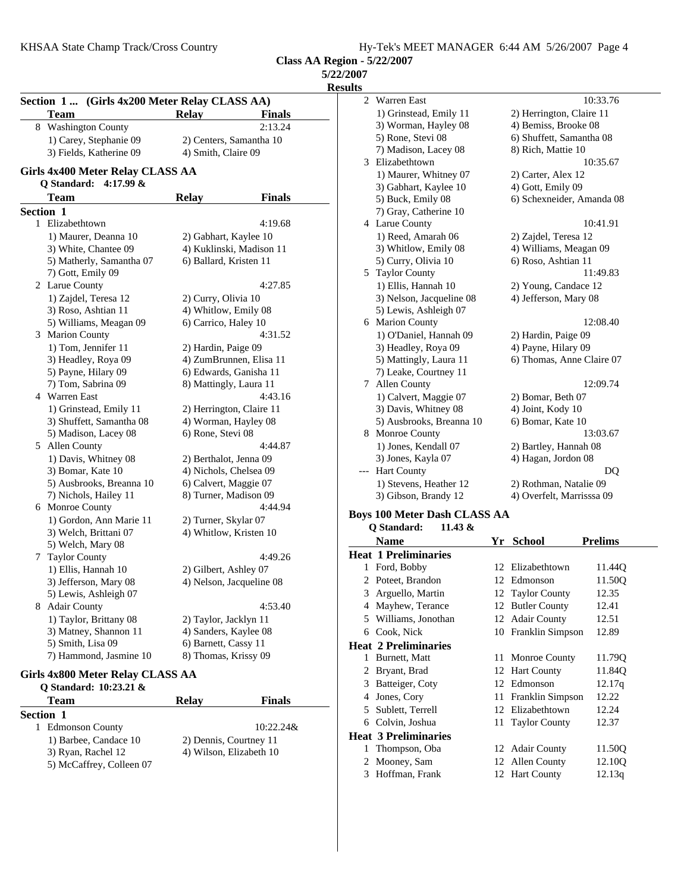| Hy-Tek's MEET MANAGER 6:44 AM 5/26/2007 Page 4 |
|------------------------------------------------|
|------------------------------------------------|

**Class AA Region - 5/22/2007**

| <b>5/22/2007</b> |  |  |
|------------------|--|--|
|                  |  |  |

| 11<br>ı<br>ч.<br>۰.<br>۰. |
|---------------------------|
|---------------------------|

|   | Section 1  (Girls 4x200 Meter Relay CLASS AA)<br>Team | <b>Relay</b>             | <b>Finals</b>            |
|---|-------------------------------------------------------|--------------------------|--------------------------|
| 8 | <b>Washington County</b>                              |                          | 2:13.24                  |
|   | 1) Carey, Stephanie 09                                |                          | 2) Centers, Samantha 10  |
|   | 3) Fields, Katherine 09                               | 4) Smith, Claire 09      |                          |
|   | Girls 4x400 Meter Relay CLASS AA                      |                          |                          |
|   | 4:17.99 &<br>Q Standard:                              |                          |                          |
|   | Team                                                  | <b>Relay</b>             | <b>Finals</b>            |
|   | Section 1                                             |                          |                          |
| 1 | Elizabethtown                                         |                          | 4:19.68                  |
|   | 1) Maurer, Deanna 10                                  | 2) Gabhart, Kaylee 10    |                          |
|   | 3) White, Chantee 09                                  |                          | 4) Kuklinski, Madison 11 |
|   | 5) Matherly, Samantha 07                              | 6) Ballard, Kristen 11   |                          |
|   | 7) Gott, Emily 09                                     |                          |                          |
|   | 2 Larue County                                        |                          | 4:27.85                  |
|   | 1) Zajdel, Teresa 12                                  | 2) Curry, Olivia 10      |                          |
|   | 3) Roso, Ashtian 11                                   | 4) Whitlow, Emily 08     |                          |
|   | 5) Williams, Meagan 09                                | 6) Carrico, Haley 10     |                          |
| 3 | Marion County                                         |                          | 4:31.52                  |
|   | 1) Tom, Jennifer 11                                   | 2) Hardin, Paige 09      |                          |
|   | 3) Headley, Roya 09                                   |                          | 4) ZumBrunnen, Elisa 11  |
|   | 5) Payne, Hilary 09                                   | 6) Edwards, Ganisha 11   |                          |
|   | 7) Tom, Sabrina 09                                    | 8) Mattingly, Laura 11   |                          |
| 4 | Warren East                                           |                          | 4:43.16                  |
|   | 1) Grinstead, Emily 11                                | 2) Herrington, Claire 11 |                          |
|   | 3) Shuffett, Samantha 08                              | 4) Worman, Hayley 08     |                          |
|   | 5) Madison, Lacey 08                                  | 6) Rone, Stevi 08        |                          |
| 5 | Allen County                                          |                          | 4:44.87                  |
|   | 1) Davis, Whitney 08                                  | 2) Berthalot, Jenna 09   |                          |
|   | 3) Bomar, Kate 10                                     | 4) Nichols, Chelsea 09   |                          |
|   | 5) Ausbrooks, Breanna 10                              | 6) Calvert, Maggie 07    |                          |
|   | 7) Nichols, Hailey 11                                 | 8) Turner, Madison 09    |                          |
| 6 | Monroe County                                         |                          | 4:44.94                  |
|   | 1) Gordon, Ann Marie 11                               | 2) Turner, Skylar 07     |                          |
|   | 3) Welch, Brittani 07                                 | 4) Whitlow, Kristen 10   |                          |
|   | 5) Welch, Mary 08                                     |                          |                          |
| 7 | <b>Taylor County</b>                                  |                          | 4:49.26                  |
|   | 1) Ellis, Hannah 10                                   | 2) Gilbert, Ashley 07    |                          |
|   | 3) Jefferson, Mary 08                                 |                          | 4) Nelson, Jacqueline 08 |
|   | 5) Lewis, Ashleigh 07                                 |                          |                          |
| 8 | <b>Adair County</b>                                   |                          | 4:53.40                  |
|   | 1) Taylor, Brittany 08                                | 2) Taylor, Jacklyn 11    |                          |
|   | 3) Matney, Shannon 11                                 | 4) Sanders, Kaylee 08    |                          |
|   | 5) Smith, Lisa 09                                     | 6) Barnett, Cassy 11     |                          |
|   | 7) Hammond, Jasmine 10                                | 8) Thomas, Krissy 09     |                          |

#### **Girls 4x800 Meter Relay CLASS AA**

| O Standard: 10:23.21 &      |       |                         |
|-----------------------------|-------|-------------------------|
| <b>Team</b>                 | Relay | <b>Finals</b>           |
| <b>Section 1</b>            |       |                         |
| <b>Edmonson County</b><br>1 |       | $10:22.24\&$            |
| 1) Barbee, Candace 10       |       | 2) Dennis, Courtney 11  |
| 3) Ryan, Rachel 12          |       | 4) Wilson, Elizabeth 10 |
| 5) McCaffrey, Colleen 07    |       |                         |

| աւտ   |                                     |    |                           |                |
|-------|-------------------------------------|----|---------------------------|----------------|
| 2     | Warren East                         |    |                           | 10:33.76       |
|       | 1) Grinstead, Emily 11              |    | 2) Herrington, Claire 11  |                |
|       | 3) Worman, Hayley 08                |    | 4) Bemiss, Brooke 08      |                |
|       | 5) Rone, Stevi 08                   |    | 6) Shuffett, Samantha 08  |                |
|       | 7) Madison, Lacey 08                |    | 8) Rich, Mattie 10        |                |
| 3     | Elizabethtown                       |    |                           | 10:35.67       |
|       | 1) Maurer, Whitney 07               |    | 2) Carter, Alex 12        |                |
|       | 3) Gabhart, Kaylee 10               |    | 4) Gott, Emily 09         |                |
|       | 5) Buck, Emily 08                   |    | 6) Schexneider, Amanda 08 |                |
|       | 7) Gray, Catherine 10               |    |                           |                |
|       | 4 Larue County                      |    |                           | 10:41.91       |
|       | 1) Reed, Amarah 06                  |    | 2) Zajdel, Teresa 12      |                |
|       | 3) Whitlow, Emily 08                |    | 4) Williams, Meagan 09    |                |
|       | 5) Curry, Olivia 10                 |    | 6) Roso, Ashtian 11       |                |
|       | 5 Taylor County                     |    |                           | 11:49.83       |
|       | 1) Ellis, Hannah 10                 |    | 2) Young, Candace 12      |                |
|       | 3) Nelson, Jacqueline 08            |    | 4) Jefferson, Mary 08     |                |
|       | 5) Lewis, Ashleigh 07               |    |                           |                |
|       | 6 Marion County                     |    |                           | 12:08.40       |
|       | 1) O'Daniel, Hannah 09              |    | 2) Hardin, Paige 09       |                |
|       | 3) Headley, Roya 09                 |    | 4) Payne, Hilary 09       |                |
|       | 5) Mattingly, Laura 11              |    | 6) Thomas, Anne Claire 07 |                |
|       | 7) Leake, Courtney 11               |    |                           |                |
|       | 7 Allen County                      |    | 12:09.74                  |                |
|       | 1) Calvert, Maggie 07               |    | 2) Bomar, Beth 07         |                |
|       | 3) Davis, Whitney 08                |    | 4) Joint, Kody 10         |                |
|       | 5) Ausbrooks, Breanna 10            |    | 6) Bomar, Kate 10         |                |
|       | 8 Monroe County                     |    |                           | 13:03.67       |
|       | 1) Jones, Kendall 07                |    | 2) Bartley, Hannah 08     |                |
|       | 3) Jones, Kayla 07                  |    | 4) Hagan, Jordon 08       |                |
| $---$ | <b>Hart County</b>                  |    |                           | DO             |
|       | 1) Stevens, Heather 12              |    | 2) Rothman, Natalie 09    |                |
|       | 3) Gibson, Brandy 12                |    | 4) Overfelt, Marrisssa 09 |                |
|       | <b>Boys 100 Meter Dash CLASS AA</b> |    |                           |                |
|       | Q Standard:<br>11.43 &              |    |                           |                |
|       | <b>Name</b>                         |    | Yr School                 | <b>Prelims</b> |
|       | <b>Heat 1 Preliminaries</b>         |    |                           |                |
|       | 1 Ford, Bobby                       | 12 | Elizabethtown             | 11.44Q         |
|       | 2 Poteet, Brandon                   |    | 12 Edmonson               | 11.50Q         |
|       | 3 Arguello, Martin                  |    | 12 Taylor County          | 12.35          |
|       | 4 Mayhew, Terance                   | 12 | <b>Butler County</b>      | 12.41          |
|       | 5 Williams, Jonothan                | 12 | <b>Adair County</b>       | 12.51          |
| 6     | Cook, Nick                          | 10 | Franklin Simpson          | 12.89          |
|       |                                     |    |                           |                |

## **Heat 2 Preliminaries** 11 Monroe County 11.79Q 2 Bryant, Brad 12 Hart County 11.84Q 3 Batteiger, Coty 12 Edmonson 12.17q 4 Jones, Cory 11 Franklin Simpson 12.22 5 Sublett, Terrell 12 Elizabethtown 12.24 6 12.37 Colvin, Joshua 11 Taylor County **Heat 3 Preliminaries** 1 Thompson, Oba 12 Adair County 11.50Q

- 2 Mooney, Sam 12 Allen County 12.10Q
- 3 Hoffman, Frank 12 Hart County 12.13q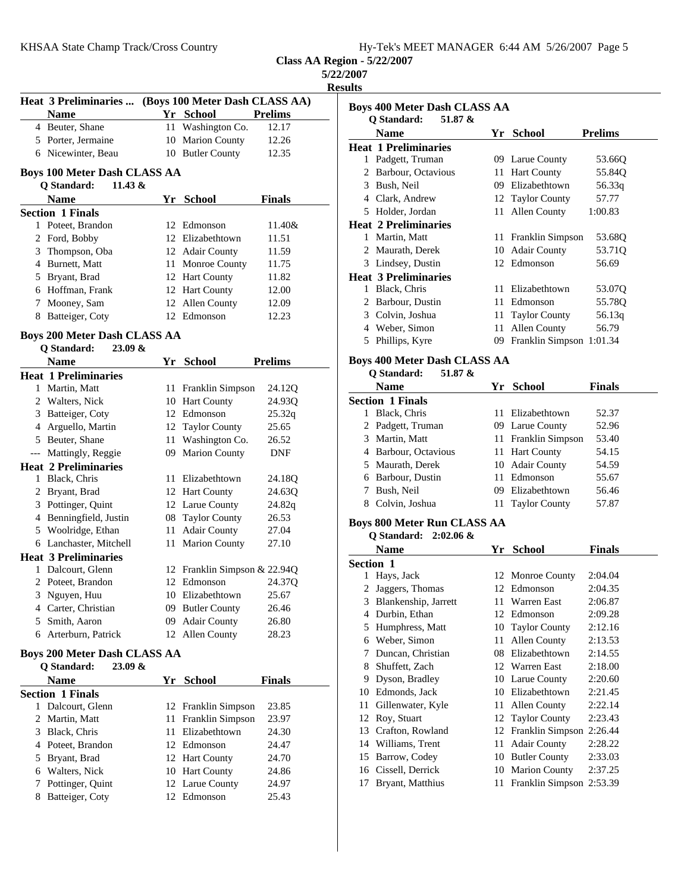| Hy-Tek's MEET MANAGER 6:44 AM 5/26/2007 Page 5 |  |
|------------------------------------------------|--|
|------------------------------------------------|--|

**Results**

|   | Heat 3 Preliminaries                                          |          | (Boys 100 Meter Dash CLASS AA)    |                |  |  |
|---|---------------------------------------------------------------|----------|-----------------------------------|----------------|--|--|
|   | <b>Name</b>                                                   |          | Yr School                         | <b>Prelims</b> |  |  |
|   | 4 Beuter, Shane                                               | 11 -     | Washington Co.                    | 12.17          |  |  |
|   | 5 Porter, Jermaine                                            | 10       | <b>Marion County</b>              | 12.26          |  |  |
|   | 6 Nicewinter, Beau                                            |          | 10 Butler County                  | 12.35          |  |  |
|   | <b>Boys 100 Meter Dash CLASS AA</b>                           |          |                                   |                |  |  |
|   | Q Standard:<br>11.43 $&$                                      |          |                                   |                |  |  |
|   | <b>Name</b>                                                   |          | Yr School                         | <b>Finals</b>  |  |  |
|   | <b>Section 1 Finals</b>                                       |          |                                   |                |  |  |
|   | 1 Poteet, Brandon                                             |          | 12 Edmonson                       | 11.40&         |  |  |
|   | 2 Ford, Bobby                                                 |          | 12 Elizabethtown                  | 11.51          |  |  |
|   | 3 Thompson, Oba                                               |          | 12 Adair County                   | 11.59          |  |  |
|   | 4 Burnett, Matt                                               |          | 11 Monroe County                  | 11.75          |  |  |
|   | 5 Bryant, Brad                                                |          | 12 Hart County                    | 11.82          |  |  |
|   | 6 Hoffman, Frank                                              |          | 12 Hart County                    | 12.00          |  |  |
| 7 | Mooney, Sam                                                   |          | 12 Allen County                   | 12.09          |  |  |
|   | 8 Batteiger, Coty                                             |          | 12 Edmonson                       | 12.23          |  |  |
|   |                                                               |          |                                   |                |  |  |
|   | <b>Boys 200 Meter Dash CLASS AA</b>                           |          |                                   |                |  |  |
|   | <b>Q</b> Standard:<br>$23.09 \&$                              |          |                                   |                |  |  |
|   | <b>Name</b>                                                   |          | Yr School                         | <b>Prelims</b> |  |  |
|   | <b>Heat 1 Preliminaries</b>                                   |          |                                   |                |  |  |
|   | 1 Martin, Matt                                                |          | 11 Franklin Simpson               | 24.12Q         |  |  |
|   | 2 Walters, Nick                                               |          | 10 Hart County                    | 24.93Q         |  |  |
|   | 3 Batteiger, Coty                                             |          | 12 Edmonson                       | 25.32q         |  |  |
|   | 4 Arguello, Martin                                            |          | 12 Taylor County                  | 25.65          |  |  |
|   | 5 Beuter, Shane                                               |          | 11 Washington Co.                 | 26.52          |  |  |
|   | --- Mattingly, Reggie                                         | 09       | <b>Marion County</b>              | DNF            |  |  |
|   | <b>Heat 2 Preliminaries</b>                                   |          |                                   |                |  |  |
|   | 1 Black, Chris                                                |          | 11 Elizabethtown                  | 24.18Q         |  |  |
|   | 2 Bryant, Brad                                                |          | 12 Hart County                    | 24.63Q         |  |  |
|   | 3 Pottinger, Quint                                            |          | 12 Larue County                   | 24.82q         |  |  |
|   | 4 Benningfield, Justin                                        |          | 08 Taylor County                  | 26.53          |  |  |
|   | 5 Woolridge, Ethan                                            | 11       | <b>Adair County</b>               | 27.04          |  |  |
|   | 6 Lanchaster, Mitchell                                        |          | 11 Marion County                  | 27.10          |  |  |
|   | <b>Heat 3 Preliminaries</b>                                   |          |                                   |                |  |  |
|   | 1 Dalcourt, Glenn                                             |          | 12 Franklin Simpson & 22.94Q      |                |  |  |
|   | 2 Poteet, Brandon                                             |          | 12 Edmonson                       | 24.37Q         |  |  |
|   | 3 Nguyen, Huu                                                 |          | 10 Elizabethtown                  | 25.67          |  |  |
| 4 | Carter, Christian                                             |          | 09 Butler County                  | 26.46          |  |  |
| 5 | Smith, Aaron                                                  | 09-      | <b>Adair County</b>               | 26.80          |  |  |
|   | 6 Arterburn, Patrick                                          |          | 12 Allen County                   | 28.23          |  |  |
|   |                                                               |          |                                   |                |  |  |
|   | <b>Boys 200 Meter Dash CLASS AA</b><br>Q Standard:<br>23.09 & |          |                                   |                |  |  |
|   | <b>Name</b>                                                   |          |                                   |                |  |  |
|   |                                                               |          | Yr School                         | Finals         |  |  |
|   | <b>Section 1 Finals</b>                                       |          |                                   | 23.85          |  |  |
|   | 1 Dalcourt, Glenn                                             |          | 12 Franklin Simpson               |                |  |  |
|   | 2 Martin, Matt<br>3 Black, Chris                              | 11<br>11 | Franklin Simpson<br>Elizabethtown | 23.97<br>24.30 |  |  |
|   | 4 Poteet, Brandon                                             |          | 12 Edmonson                       | 24.47          |  |  |
|   |                                                               |          |                                   |                |  |  |

5 Bryant, Brad 12 Hart County 24.70 6 24.86 Walters, Nick 10 Hart County 7 Pottinger, Quint 12 Larue County 24.97 8 25.43 Batteiger, Coty 12 Edmonson

| ults          |                                                               |      |                      |                |
|---------------|---------------------------------------------------------------|------|----------------------|----------------|
|               | <b>Boys 400 Meter Dash CLASS AA</b><br>O Standard:<br>51.87 & |      |                      |                |
|               | Name                                                          | Yr - | <b>School</b>        | <b>Prelims</b> |
|               | <b>Heat 1 Preliminaries</b>                                   |      |                      |                |
| 1             | Padgett, Truman                                               |      | 09 Larue County      | 53.660         |
| $\mathcal{L}$ | Barbour, Octavious                                            | 11   | <b>Hart County</b>   | 55.84Q         |
| 3             | Bush, Neil                                                    | 09   | Elizabethtown        | 56.33q         |
| 4             | Clark, Andrew                                                 |      | 12 Taylor County     | 57.77          |
| 5             | Holder, Jordan                                                | 11   | Allen County         | 1:00.83        |
|               | <b>Heat 2 Preliminaries</b>                                   |      |                      |                |
| 1             | Martin, Matt                                                  | 11   | Franklin Simpson     | 53.68Q         |
| $2^{\circ}$   | Maurath, Derek                                                | 10   | <b>Adair County</b>  | 53.71Q         |
| 3             | Lindsey, Dustin                                               |      | 12 Edmonson          | 56.69          |
|               | <b>Heat 3 Preliminaries</b>                                   |      |                      |                |
| 1             | Black, Chris                                                  | 11   | Elizabethtown        | 53.07Q         |
| $\mathcal{L}$ | Barbour, Dustin                                               | 11   | Edmonson             | 55.78Q         |
| 3             | Colvin, Joshua                                                | 11   | <b>Taylor County</b> | 56.13q         |
| 4             | Weber, Simon                                                  | 11   | <b>Allen County</b>  | 56.79          |
| 5             | Phillips, Kyre                                                | 09   | Franklin Simpson     | 1:01.34        |
|               | <b>Boys 400 Meter Dash CLASS AA</b>                           |      |                      |                |

## **Q Standard: 51.87 &**

| <b>Name</b>             |  | Yr School           | Finals |
|-------------------------|--|---------------------|--------|
| <b>Section 1 Finals</b> |  |                     |        |
| Black, Chris            |  | 11 Elizabethtown    | 52.37  |
| 2 Padgett, Truman       |  | 09 Larue County     | 52.96  |
| 3 Martin, Matt          |  | 11 Franklin Simpson | 53.40  |
| 4 Barbour, Octavious    |  | 11 Hart County      | 54.15  |
| 5 Maurath, Derek        |  | 10 Adair County     | 54.59  |
| 6 Barbour, Dustin       |  | 11 Edmonson         | 55.67  |
| Bush, Neil              |  | 09 Elizabethtown    | 56.46  |
| Colvin, Joshua<br>8     |  | 11 Taylor County    | 57.87  |
|                         |  |                     |        |

## **Boys 800 Meter Run CLASS AA**

| Q Standard: 2:02.06 & |  |                                  |         |
|-----------------------|--|----------------------------------|---------|
| $N = -$               |  | $V_{\rm m}$ $C_{\rm obs}$ $\sim$ | 172.aa1 |

|                  | Name                 | Υr | School                   | Finals  |
|------------------|----------------------|----|--------------------------|---------|
| <b>Section 1</b> |                      |    |                          |         |
| 1                | Hays, Jack           |    | 12 Monroe County         | 2:04.04 |
| 2                | Jaggers, Thomas      | 12 | Edmonson                 | 2:04.35 |
| 3                | Blankenship, Jarrett | 11 | Warren East              | 2:06.87 |
| 4                | Durbin, Ethan        | 12 | Edmonson                 | 2:09.28 |
| 5                | Humphress, Matt      | 10 | <b>Taylor County</b>     | 2:12.16 |
| 6                | Weber, Simon         | 11 | Allen County             | 2:13.53 |
| 7                | Duncan, Christian    | 08 | Elizabethtown            | 2:14.55 |
| 8                | Shuffett, Zach       | 12 | Warren East              | 2:18.00 |
| 9                | Dyson, Bradley       |    | 10 Larue County          | 2:20.60 |
| 10               | Edmonds, Jack        | 10 | Elizabethtown            | 2:21.45 |
| 11               | Gillenwater, Kyle    | 11 | Allen County             | 2:22.14 |
| 12               | Roy, Stuart          | 12 | <b>Taylor County</b>     | 2:23.43 |
| 13               | Crafton, Rowland     | 12 | Franklin Simpson         | 2:26.44 |
| 14               | Williams, Trent      | 11 | <b>Adair County</b>      | 2:28.22 |
| 15               | Barrow, Codey        | 10 | <b>Butler County</b>     | 2:33.03 |
| 16               | Cissell, Derrick     | 10 | <b>Marion County</b>     | 2:37.25 |
| 17               | Bryant, Matthius     | 11 | Franklin Simpson 2:53.39 |         |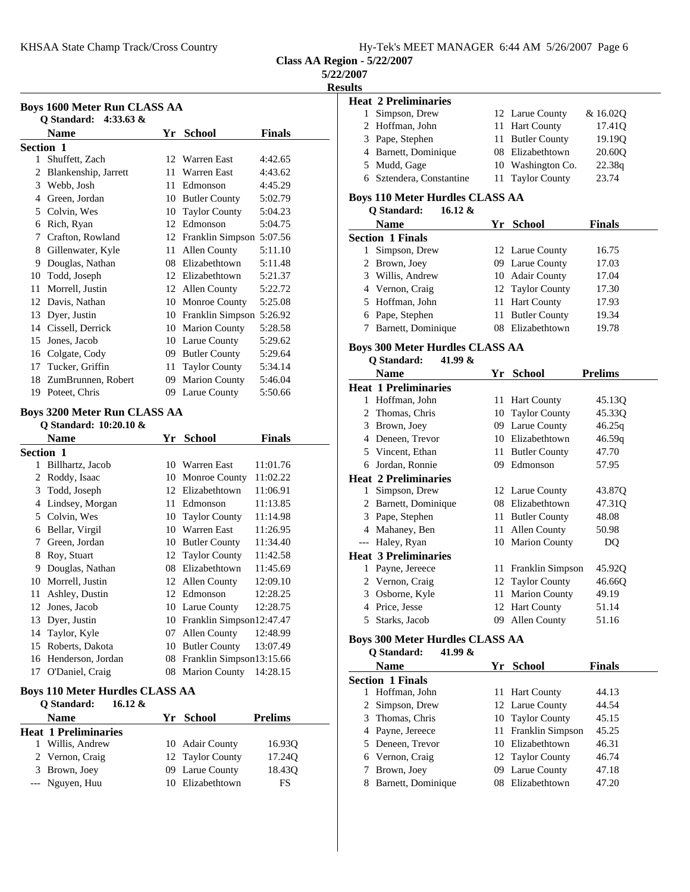|  | Hy-Tek's MEET MANAGER 6:44 AM 5/26/2007 Page 6 |  |  |
|--|------------------------------------------------|--|--|
|  |                                                |  |  |

## **5/22/2007**

**Results**

|    | <b>Name</b>                    |    | Yr School                   | <b>Finals</b> |
|----|--------------------------------|----|-----------------------------|---------------|
|    | Section 1                      |    |                             |               |
| 1  | Shuffett, Zach                 |    | 12 Warren East              | 4:42.65       |
| 2  | Blankenship, Jarrett           | 11 | <b>Warren East</b>          | 4:43.62       |
| 3  | Webb, Josh                     | 11 | Edmonson                    | 4:45.29       |
| 4  | Green, Jordan                  | 10 | <b>Butler County</b>        | 5:02.79       |
| 5  | Colvin, Wes                    | 10 | <b>Taylor County</b>        | 5:04.23       |
| 6  | Rich, Ryan                     | 12 | Edmonson                    | 5:04.75       |
| 7  | Crafton, Rowland               |    | 12 Franklin Simpson 5:07.56 |               |
| 8  | Gillenwater, Kyle              | 11 | Allen County                | 5:11.10       |
| 9  | Douglas, Nathan                | 08 | Elizabethtown               | 5:11.48       |
| 10 | Todd, Joseph                   |    | 12 Elizabethtown            | 5:21.37       |
| 11 | Morrell, Justin                | 12 | Allen County                | 5:22.72       |
|    | 12 Davis, Nathan               |    | 10 Monroe County            | 5:25.08       |
| 13 | Dyer, Justin                   |    | 10 Franklin Simpson 5:26.92 |               |
| 14 | Cissell, Derrick               |    | 10 Marion County            | 5:28.58       |
| 15 | Jones, Jacob                   |    | 10 Larue County             | 5:29.62       |
| 16 | Colgate, Cody                  | 09 | <b>Butler County</b>        | 5:29.64       |
| 17 | Tucker, Griffin                | 11 | <b>Taylor County</b>        | 5:34.14       |
| 18 | ZumBrunnen, Robert             | 09 | <b>Marion County</b>        | 5:46.04       |
| 19 | Poteet, Chris                  |    | 09 Larue County             | 5:50.66       |
|    | Boys 3200 Meter Run CLASS AA   |    |                             |               |
|    | Q Standard: 10:20.10 &<br>Nomo |    | Vr Sehool                   | Finalc        |

| Name              | Yr | <b>School</b>        | Finals                                               |
|-------------------|----|----------------------|------------------------------------------------------|
| Section 1         |    |                      |                                                      |
| Billhartz, Jacob  | 10 | Warren East          | 11:01.76                                             |
| Roddy, Isaac      | 10 | Monroe County        | 11:02.22                                             |
| Todd, Joseph      | 12 | Elizabethtown        | 11:06.91                                             |
| Lindsey, Morgan   | 11 | Edmonson             | 11:13.85                                             |
| Colvin, Wes       | 10 | <b>Taylor County</b> | 11:14.98                                             |
| Bellar, Virgil    | 10 | Warren East          | 11:26.95                                             |
| Green, Jordan     | 10 | <b>Butler County</b> | 11:34.40                                             |
| Roy, Stuart       | 12 | <b>Taylor County</b> | 11:42.58                                             |
| Douglas, Nathan   | 08 | Elizabethtown        | 11:45.69                                             |
| Morrell, Justin   | 12 | Allen County         | 12:09.10                                             |
| Ashley, Dustin    | 12 | Edmonson             | 12:28.25                                             |
| Jones, Jacob      | 10 | Larue County         | 12:28.75                                             |
| Dyer, Justin      | 10 |                      |                                                      |
| Taylor, Kyle      | 07 | Allen County         | 12:48.99                                             |
| Roberts, Dakota   | 10 | <b>Butler County</b> | 13:07.49                                             |
| Henderson, Jordan | 08 |                      |                                                      |
| O'Daniel, Craig   | 08 | <b>Marion County</b> | 14:28.15                                             |
|                   |    |                      | Franklin Simpson12:47.47<br>Franklin Simpson13:15.66 |

## **Boys 110 Meter Hurdles CLASS AA**

| 16.12 $\&$<br>O Standard:   |                  |                |
|-----------------------------|------------------|----------------|
| <b>Name</b>                 | Yr School        | <b>Prelims</b> |
| <b>Heat 1 Preliminaries</b> |                  |                |
| 1 Willis, Andrew            | 10 Adair County  | 16.930         |
| 2 Vernon, Craig             | 12 Taylor County | 17.240         |
| 3 Brown, Joey               | 09 Larue County  | 18.43Q         |
| --- Nguyen, Huu             | 10 Elizabethtown | FS             |

| <b>Heat 2 Preliminaries</b>            |    |                      |                    |  |  |  |  |
|----------------------------------------|----|----------------------|--------------------|--|--|--|--|
| Simpson, Drew<br>1                     |    | 12 Larue County      | & 16.020           |  |  |  |  |
| Hoffman, John<br>$2^{\circ}$           |    | 11 Hart County       | 17.41 <sub>O</sub> |  |  |  |  |
| 3 Pape, Stephen                        | 11 | <b>Butler County</b> | 19.190             |  |  |  |  |
| Barnett, Dominique                     |    | 08 Elizabethtown     | 20.60Q             |  |  |  |  |
| 5 Mudd, Gage                           |    | 10 Washington Co.    | 22.38q             |  |  |  |  |
| Sztendera, Constantine                 |    | 11 Taylor County     | 23.74              |  |  |  |  |
| <b>Boys 110 Meter Hurdles CLASS AA</b> |    |                      |                    |  |  |  |  |
|                                        |    |                      |                    |  |  |  |  |
| O Standard:<br>16.12 $\&$              |    |                      |                    |  |  |  |  |
| <b>Name</b>                            |    | Yr School            | <b>Finals</b>      |  |  |  |  |
| <b>Section 1 Finals</b>                |    |                      |                    |  |  |  |  |
| Simpson, Drew                          |    | 12 Larue County      | 16.75              |  |  |  |  |
| Brown, Joey<br>$\mathbf{2}^{\prime}$   |    | 09 Larue County      | 17.03              |  |  |  |  |

### 4 Vernon, Craig 12 Taylor County 17.30 5 Hoffman, John 11 Hart County 17.93 6 Pape, Stephen 11 Butler County 19.34 7 Barnett, Dominique 08 Elizabethtown 19.78

#### **Boys 300 Meter Hurdles CLASS AA**

| Q Standard: | 41.99 & |
|-------------|---------|
|             |         |

|       | <b>Name</b>                 | Yr | <b>School</b>        | <b>Prelims</b> |
|-------|-----------------------------|----|----------------------|----------------|
|       | <b>Heat 1 Preliminaries</b> |    |                      |                |
| 1     | Hoffman, John               | 11 | <b>Hart County</b>   | 45.13Q         |
| 2     | Thomas, Chris               | 10 | <b>Taylor County</b> | 45.33Q         |
| 3     | Brown, Joey                 |    | 09 Larue County      | 46.25q         |
| 4     | Deneen, Trevor              | 10 | Elizabethtown        | 46.59q         |
| 5     | Vincent, Ethan              | 11 | <b>Butler County</b> | 47.70          |
| 6     | Jordan, Ronnie              | 09 | Edmonson             | 57.95          |
|       | <b>Heat 2 Preliminaries</b> |    |                      |                |
| 1     | Simpson, Drew               |    | 12 Larue County      | 43.87Q         |
| 2     | Barnett, Dominique          |    | 08 Elizabethtown     | 47.31Q         |
| 3     | Pape, Stephen               |    | 11 Butler County     | 48.08          |
| 4     | Mahaney, Ben                | 11 | Allen County         | 50.98          |
| $---$ | Haley, Ryan                 | 10 | <b>Marion County</b> | DQ             |
|       | <b>Heat 3 Preliminaries</b> |    |                      |                |
| 1     | Payne, Jereece              | 11 | Franklin Simpson     | 45.92Q         |
| 2     | Vernon, Craig               |    | 12 Taylor County     | 46.66Q         |
| 3     | Osborne, Kyle               | 11 | <b>Marion County</b> | 49.19          |
| 4     | Price, Jesse                |    | 12 Hart County       | 51.14          |
| 5     | Starks, Jacob               | 09 | Allen County         | 51.16          |
|       |                             |    |                      |                |

## **Boys 300 Meter Hurdles CLASS AA**

#### **Q Standard: 41.99 &**

|   | <b>Name</b>             | Yr School           | <b>Finals</b> |
|---|-------------------------|---------------------|---------------|
|   | <b>Section 1 Finals</b> |                     |               |
|   | Hoffman, John           | 11 Hart County      | 44.13         |
|   | 2 Simpson, Drew         | 12 Larue County     | 44.54         |
|   | 3 Thomas, Chris         | 10 Taylor County    | 45.15         |
|   | 4 Payne, Jereece        | 11 Franklin Simpson | 45.25         |
|   | 5 Deneen, Trevor        | 10 Elizabethtown    | 46.31         |
|   | 6 Vernon, Craig         | 12 Taylor County    | 46.74         |
|   | Brown, Joey             | 09 Larue County     | 47.18         |
| 8 | Barnett, Dominique      | 08 Elizabethtown    | 47.20         |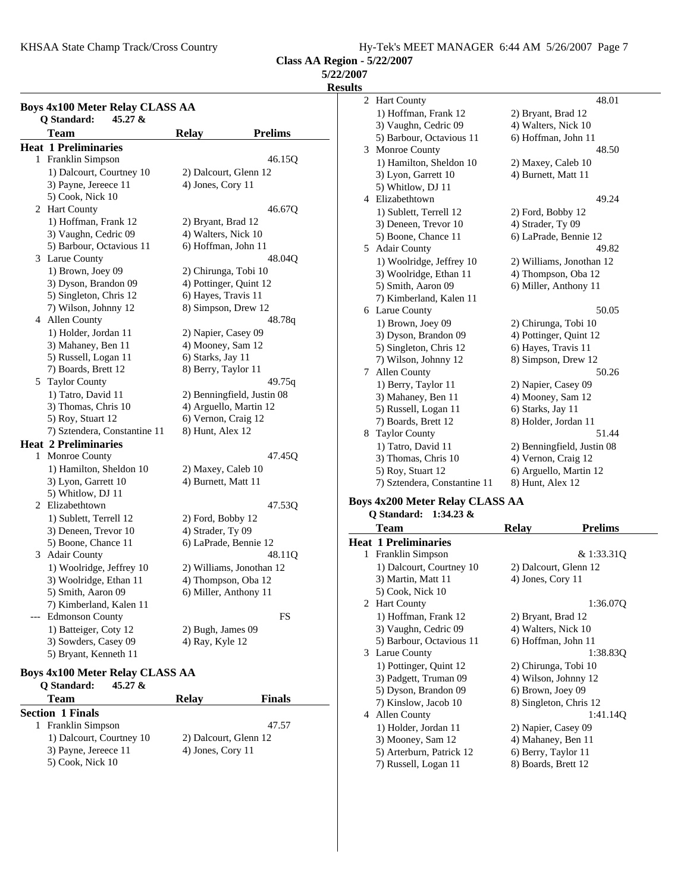KHSAA State Champ Track/Cross Country Fig. 2008. Hy-Tek's MEET MANAGER 6:44 AM 5/26/2007 Page 7

**Class AA Region - 5/22/2007**

**5/22/2007**

**Results**

|   | <b>Boys 4x100 Meter Relay CLASS AA</b><br>Q Standard:<br>$45.27 \&$ |                               |                            |  |
|---|---------------------------------------------------------------------|-------------------------------|----------------------------|--|
|   | <b>Team</b>                                                         | <b>Relay</b>                  | <b>Prelims</b>             |  |
|   | <b>Heat 1 Preliminaries</b>                                         |                               |                            |  |
| 1 | Franklin Simpson                                                    |                               | 46.15Q                     |  |
|   | 1) Dalcourt, Courtney 10                                            | 2) Dalcourt, Glenn 12         |                            |  |
|   | 3) Payne, Jereece 11                                                | 4) Jones, Cory 11             |                            |  |
|   | 5) Cook, Nick 10                                                    |                               |                            |  |
|   | 2 Hart County                                                       |                               | 46.67Q                     |  |
|   | 1) Hoffman, Frank 12                                                | 2) Bryant, Brad 12            |                            |  |
|   | 3) Vaughn, Cedric 09                                                | 4) Walters, Nick 10           |                            |  |
|   | 5) Barbour, Octavious 11                                            | 6) Hoffman, John 11           |                            |  |
| 3 | Larue County                                                        |                               | 48.04Q                     |  |
|   | 1) Brown, Joey 09                                                   | 2) Chirunga, Tobi 10          |                            |  |
|   | 3) Dyson, Brandon 09                                                | 4) Pottinger, Quint 12        |                            |  |
|   | 5) Singleton, Chris 12                                              | 6) Hayes, Travis 11           |                            |  |
|   | 7) Wilson, Johnny 12                                                |                               |                            |  |
| 4 | Allen County                                                        | 8) Simpson, Drew 12<br>48.78q |                            |  |
|   | 1) Holder, Jordan 11                                                | 2) Napier, Casey 09           |                            |  |
|   | 3) Mahaney, Ben 11                                                  | 4) Mooney, Sam 12             |                            |  |
|   | 5) Russell, Logan 11                                                | 6) Starks, Jay 11             |                            |  |
|   | 7) Boards, Brett 12                                                 | 8) Berry, Taylor 11           |                            |  |
| 5 | <b>Taylor County</b>                                                |                               | 49.75q                     |  |
|   | 1) Tatro, David 11                                                  |                               | 2) Benningfield, Justin 08 |  |
|   | 3) Thomas, Chris 10                                                 |                               | 4) Arguello, Martin 12     |  |
|   | 5) Roy, Stuart 12                                                   | 6) Vernon, Craig 12           |                            |  |
|   | 7) Sztendera, Constantine 11                                        | 8) Hunt, Alex 12              |                            |  |
|   | <b>Heat 2 Preliminaries</b>                                         |                               |                            |  |
| 1 | Monroe County                                                       |                               | 47.45Q                     |  |
|   | 1) Hamilton, Sheldon 10                                             | 2) Maxey, Caleb 10            |                            |  |
|   | 3) Lyon, Garrett 10                                                 | 4) Burnett, Matt 11           |                            |  |
|   | 5) Whitlow, DJ 11                                                   |                               |                            |  |
|   | 2 Elizabethtown                                                     |                               | 47.53Q                     |  |
|   | 1) Sublett, Terrell 12                                              | 2) Ford, Bobby 12             |                            |  |
|   | 3) Deneen, Trevor 10                                                | 4) Strader, Ty 09             |                            |  |
|   | 5) Boone, Chance 11                                                 |                               | 6) LaPrade, Bennie 12      |  |
| 3 | <b>Adair County</b>                                                 |                               | 48.11Q                     |  |
|   | 1) Woolridge, Jeffrey 10                                            |                               | 2) Williams, Jonothan 12   |  |
|   | 3) Woolridge, Ethan 11                                              | 4) Thompson, Oba 12           |                            |  |
|   | 5) Smith, Aaron 09                                                  | 6) Miller, Anthony 11         |                            |  |
|   | 7) Kimberland, Kalen 11                                             |                               |                            |  |
|   | <b>Edmonson County</b>                                              |                               | FS                         |  |
|   | 1) Batteiger, Coty 12                                               | 2) Bugh, James 09             |                            |  |
|   | 3) Sowders, Casey 09                                                | 4) Ray, Kyle 12               |                            |  |
|   | 5) Bryant, Kenneth 11                                               |                               |                            |  |

#### **Boys 4x100 Meter Relay CLASS AA**<br>O Standard: 45.27 & **Q Standard: 45.27 &**

| $\sim$ $\sim$ $\sim$ $\sim$ $\sim$ $\sim$ $\sim$ $\sim$ |                       |               |
|---------------------------------------------------------|-----------------------|---------------|
| Team                                                    | <b>Relay</b>          | <b>Finals</b> |
| <b>Section 1 Finals</b>                                 |                       |               |
| 1 Franklin Simpson                                      |                       | 47.57         |
| 1) Dalcourt, Courtney 10                                | 2) Dalcourt, Glenn 12 |               |
| 3) Payne, Jereece 11                                    | 4) Jones, Cory 11     |               |
| 5) Cook, Nick 10                                        |                       |               |

2 Hart County 48.01 1) Hoffman, Frank 12 2) Bryant, Brad 12 3) Vaughn, Cedric 09 4) Walters, Nick 10 5) Barbour, Octavious 11 6) Hoffman, John 11 3 48.50 Monroe County 1) Hamilton, Sheldon 10 2) Maxey, Caleb 10 3) Lyon, Garrett 10 4) Burnett, Matt 11 5) Whitlow, DJ 11 4 49.24 Elizabethtown 1) Sublett, Terrell 12 2) Ford, Bobby 12 3) Deneen, Trevor 10 4) Strader, Ty 09 5) Boone, Chance 11 6) LaPrade, Bennie 12 5 49.82 Adair County 1) Woolridge, Jeffrey 10 2) Williams, Jonothan 12 3) Woolridge, Ethan 11 4) Thompson, Oba 12 5) Smith, Aaron 09 6) Miller, Anthony 11 7) Kimberland, Kalen 11 6 50.05 Larue County 1) Brown, Joey 09 2) Chirunga, Tobi 10 3) Dyson, Brandon 09 4) Pottinger, Quint 12 5) Singleton, Chris 12 6) Hayes, Travis 11 7) Wilson, Johnny 12 8) Simpson, Drew 12 7 Allen County 50.26 1) Berry, Taylor 11 2) Napier, Casey 09 3) Mahaney, Ben 11 4) Mooney, Sam 12 5) Russell, Logan 11 6) Starks, Jay 11 7) Boards, Brett 12 8) Holder, Jordan 11 8 Taylor County 1) Tatro, David 11 2) Benningfield, Justin 08 3) Thomas, Chris 10 4) Vernon, Craig 12 5) Roy, Stuart 12 6) Arguello, Martin 12 7) Sztendera, Constantine 11 8) Hunt, Alex 12

#### **Boys 4x200 Meter Relay CLASS AA Q Standard: 1:34.23 &**

|   | <b>Team</b>              | <b>Relay</b>          | <b>Prelims</b>         |
|---|--------------------------|-----------------------|------------------------|
|   | Heat 1 Preliminaries     |                       |                        |
|   | 1 Franklin Simpson       |                       | & 1:33.31Q             |
|   | 1) Dalcourt, Courtney 10 | 2) Dalcourt, Glenn 12 |                        |
|   | 3) Martin, Matt 11       | 4) Jones, Cory 11     |                        |
|   | 5) Cook, Nick 10         |                       |                        |
|   | 2 Hart County            |                       | 1:36.070               |
|   | 1) Hoffman, Frank 12     | 2) Bryant, Brad 12    |                        |
|   | 3) Vaughn, Cedric 09     | 4) Walters, Nick 10   |                        |
|   | 5) Barbour, Octavious 11 | 6) Hoffman, John 11   |                        |
|   | 3 Larue County           |                       | 1:38.830               |
|   | 1) Pottinger, Quint 12   | 2) Chirunga, Tobi 10  |                        |
|   | 3) Padgett, Truman 09    | 4) Wilson, Johnny 12  |                        |
|   | 5) Dyson, Brandon 09     | 6) Brown, Joey 09     |                        |
|   | 7) Kinslow, Jacob 10     |                       | 8) Singleton, Chris 12 |
| 4 | Allen County             |                       | 1:41.14Q               |
|   | 1) Holder, Jordan 11     | 2) Napier, Casey 09   |                        |
|   | 3) Mooney, Sam 12        | 4) Mahaney, Ben 11    |                        |
|   | 5) Arterburn, Patrick 12 | 6) Berry, Taylor 11   |                        |
|   | 7) Russell, Logan 11     | 8) Boards, Brett 12   |                        |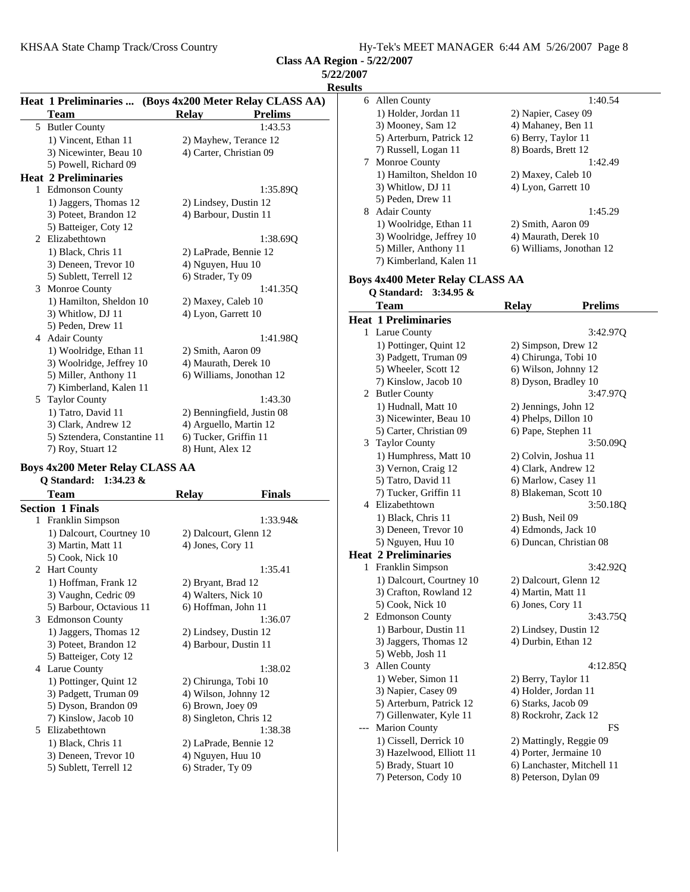| <b>5/22/2007</b> |  |
|------------------|--|
| <b>Results</b>   |  |

|   | Heat 1 Preliminaries  (Boys 4x200 Meter Relay CLASS AA) |                            |                |
|---|---------------------------------------------------------|----------------------------|----------------|
|   | Team                                                    | <b>Relay</b>               | <b>Prelims</b> |
|   | 5 Butler County                                         |                            | 1:43.53        |
|   | 1) Vincent, Ethan 11                                    | 2) Mayhew, Terance 12      |                |
|   | 3) Nicewinter, Beau 10                                  | 4) Carter, Christian 09    |                |
|   | 5) Powell, Richard 09                                   |                            |                |
|   | <b>Heat 2 Preliminaries</b>                             |                            |                |
|   | 1 Edmonson County                                       |                            | 1:35.890       |
|   | 1) Jaggers, Thomas 12                                   | 2) Lindsey, Dustin 12      |                |
|   | 3) Poteet, Brandon 12                                   | 4) Barbour, Dustin 11      |                |
|   | 5) Batteiger, Coty 12                                   |                            |                |
|   | 2 Elizabethtown                                         |                            | 1:38.690       |
|   | 1) Black, Chris 11                                      | 2) LaPrade, Bennie 12      |                |
|   | 3) Deneen, Trevor 10                                    | 4) Nguyen, Huu 10          |                |
|   | 5) Sublett, Terrell 12                                  | 6) Strader, Ty 09          |                |
| 3 | <b>Monroe County</b>                                    |                            | 1:41.350       |
|   | 1) Hamilton, Sheldon 10                                 | 2) Maxey, Caleb 10         |                |
|   | 3) Whitlow, DJ 11                                       | 4) Lyon, Garrett 10        |                |
|   | 5) Peden, Drew 11                                       |                            |                |
|   | 4 Adair County                                          |                            | 1:41.980       |
|   | 1) Woolridge, Ethan 11                                  | 2) Smith, Aaron 09         |                |
|   | 3) Woolridge, Jeffrey 10                                | 4) Maurath, Derek 10       |                |
|   | 5) Miller, Anthony 11                                   | 6) Williams, Jonothan 12   |                |
|   | 7) Kimberland, Kalen 11                                 |                            |                |
| 5 | <b>Taylor County</b>                                    |                            | 1:43.30        |
|   | 1) Tatro, David 11                                      | 2) Benningfield, Justin 08 |                |
|   | 3) Clark, Andrew 12                                     | 4) Arguello, Martin 12     |                |
|   | 5) Sztendera, Constantine 11                            | 6) Tucker, Griffin 11      |                |
|   | 7) Roy, Stuart 12                                       | 8) Hunt, Alex 12           |                |
|   |                                                         | $\sim$ $\sim$              |                |

### **Boys 4x200 Meter Relay CLASS AA Q Standard: 1:34.23 &**

|   | <b>Team</b>              | <b>Relay</b>           | <b>Finals</b> |
|---|--------------------------|------------------------|---------------|
|   | <b>Section 1 Finals</b>  |                        |               |
| 1 | Franklin Simpson         |                        | $1:33.94\&$   |
|   | 1) Dalcourt, Courtney 10 | 2) Dalcourt, Glenn 12  |               |
|   | 3) Martin, Matt 11       | 4) Jones, Cory 11      |               |
|   | 5) Cook, Nick 10         |                        |               |
|   | 2 Hart County            |                        | 1:35.41       |
|   | 1) Hoffman, Frank 12     | 2) Bryant, Brad 12     |               |
|   | 3) Vaughn, Cedric 09     | 4) Walters, Nick 10    |               |
|   | 5) Barbour, Octavious 11 | 6) Hoffman, John 11    |               |
| 3 | <b>Edmonson County</b>   |                        | 1:36.07       |
|   | 1) Jaggers, Thomas 12    | 2) Lindsey, Dustin 12  |               |
|   | 3) Poteet, Brandon 12    | 4) Barbour, Dustin 11  |               |
|   | 5) Batteiger, Coty 12    |                        |               |
| 4 | Larue County             |                        | 1:38.02       |
|   | 1) Pottinger, Quint 12   | 2) Chirunga, Tobi 10   |               |
|   | 3) Padgett, Truman 09    | 4) Wilson, Johnny 12   |               |
|   | 5) Dyson, Brandon 09     | 6) Brown, Joey 09      |               |
|   | 7) Kinslow, Jacob 10     | 8) Singleton, Chris 12 |               |
| 5 | Elizabethtown            |                        | 1:38.38       |
|   | 1) Black, Chris 11       | 2) LaPrade, Bennie 12  |               |
|   | 3) Deneen, Trevor 10     | 4) Nguyen, Huu 10      |               |
|   | 5) Sublett, Terrell 12   | 6) Strader, Ty 09      |               |
|   |                          |                        |               |

| :007 |                                        |                      |                            |
|------|----------------------------------------|----------------------|----------------------------|
| ılts |                                        |                      |                            |
|      | 6 Allen County                         |                      | 1:40.54                    |
|      | 1) Holder, Jordan 11                   | 2) Napier, Casey 09  |                            |
|      | 3) Mooney, Sam 12                      | 4) Mahaney, Ben 11   |                            |
|      | 5) Arterburn, Patrick 12               | 6) Berry, Taylor 11  |                            |
|      | 7) Russell, Logan 11                   | 8) Boards, Brett 12  |                            |
| 7    | Monroe County                          |                      | 1:42.49                    |
|      | 1) Hamilton, Sheldon 10                | 2) Maxey, Caleb 10   |                            |
|      | 3) Whitlow, DJ 11                      | 4) Lyon, Garrett 10  |                            |
|      | 5) Peden, Drew 11                      |                      |                            |
| 8    | <b>Adair County</b>                    |                      | 1:45.29                    |
|      | 1) Woolridge, Ethan 11                 | 2) Smith, Aaron 09   |                            |
|      | 3) Woolridge, Jeffrey 10               |                      | 4) Maurath, Derek 10       |
|      | 5) Miller, Anthony 11                  |                      | 6) Williams, Jonothan 12   |
|      | 7) Kimberland, Kalen 11                |                      |                            |
|      |                                        |                      |                            |
|      | <b>Boys 4x400 Meter Relay CLASS AA</b> |                      |                            |
|      | Q Standard:<br>$3:34.95 \&$            |                      |                            |
|      | <b>Team</b>                            | <b>Relay</b>         | <b>Prelims</b>             |
|      | <b>Heat 1 Preliminaries</b>            |                      |                            |
|      | 1 Larue County                         |                      | 3:42.970                   |
|      | 1) Pottinger, Quint 12                 |                      | 2) Simpson, Drew 12        |
|      | 3) Padgett, Truman 09                  | 4) Chirunga, Tobi 10 |                            |
|      | 5) Wheeler, Scott 12                   |                      | 6) Wilson, Johnny 12       |
|      | 7) Kinslow, Jacob 10                   |                      | 8) Dyson, Bradley 10       |
|      | 2 Butler County                        |                      | 3:47.970                   |
|      | 1) Hudnall, Matt 10                    | 2) Jennings, John 12 |                            |
|      | 3) Nicewinter, Beau 10                 | 4) Phelps, Dillon 10 |                            |
|      | 5) Carter, Christian 09                | 6) Pape, Stephen 11  |                            |
|      | 3 Taylor County                        |                      | 3:50.09Q                   |
|      | 1) Humphress, Matt 10                  | 2) Colvin, Joshua 11 |                            |
|      | 3) Vernon, Craig 12                    | 4) Clark, Andrew 12  |                            |
|      | 5) Tatro, David 11                     | 6) Marlow, Casey 11  |                            |
|      | 7) Tucker, Griffin 11                  |                      | 8) Blakeman, Scott 10      |
| 4    | Elizabethtown                          |                      | 3:50.18Q                   |
|      | 1) Black, Chris 11                     | 2) Bush, Neil 09     |                            |
|      | 3) Deneen, Trevor 10                   | 4) Edmonds, Jack 10  |                            |
|      | 5) Nguyen, Huu 10                      |                      | 6) Duncan, Christian 08    |
|      | <b>Heat 2 Preliminaries</b>            |                      |                            |
| 1    | Franklin Simpson                       |                      | 3:42.92Q                   |
|      | 1) Dalcourt, Courtney 10               |                      | 2) Dalcourt, Glenn 12      |
|      | 3) Crafton, Rowland 12                 | 4) Martin, Matt 11   |                            |
|      | 5) Cook, Nick 10                       | 6) Jones, Cory 11    |                            |
|      | 2 Edmonson County                      |                      | 3:43.75Q                   |
|      | 1) Barbour, Dustin 11                  |                      | 2) Lindsey, Dustin 12      |
|      | 3) Jaggers, Thomas 12                  | 4) Durbin, Ethan 12  |                            |
|      | 5) Webb, Josh 11                       |                      |                            |
| 3    | <b>Allen County</b>                    |                      | 4:12.85Q                   |
|      | 1) Weber, Simon 11                     | 2) Berry, Taylor 11  |                            |
|      | 3) Napier, Casey 09                    | 4) Holder, Jordan 11 |                            |
|      | 5) Arterburn, Patrick 12               | 6) Starks, Jacob 09  |                            |
|      | 7) Gillenwater, Kyle 11                |                      | 8) Rockrohr, Zack 12       |
|      | <b>Marion County</b>                   |                      | FS                         |
|      | 1) Cissell, Derrick 10                 |                      | 2) Mattingly, Reggie 09    |
|      | 3) Hazelwood, Elliott 11               |                      | 4) Porter, Jermaine 10     |
|      | 5) Brady, Stuart 10                    |                      | 6) Lanchaster, Mitchell 11 |
|      | 7) Peterson, Cody 10                   |                      | 8) Peterson, Dylan 09      |
|      |                                        |                      |                            |